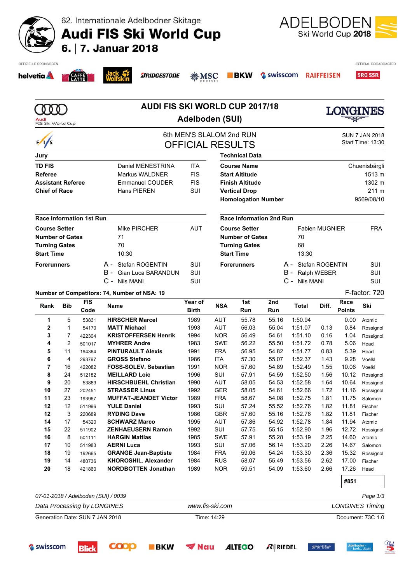62. Internationale Adelbodner Skitage

**Audi FIS Ski World Cup** 



| helvetia A               |                | <b>CAFFE</b>                    |                                                                                                   | <b><i>BRIDGESTONE</i></b>                     | <b>愈MSC</b>             |                                        | <b>BKW</b>                      | Swisscom            |                    | <b>RAIFFEISEN</b>     |                       | <b>SRG SSR</b>         |  |
|--------------------------|----------------|---------------------------------|---------------------------------------------------------------------------------------------------|-----------------------------------------------|-------------------------|----------------------------------------|---------------------------------|---------------------|--------------------|-----------------------|-----------------------|------------------------|--|
| Audi                     |                |                                 |                                                                                                   | <b>AUDI FIS SKI WORLD CUP 2017/18</b>         | <b>Adelboden (SUI)</b>  |                                        |                                 |                     |                    |                       | <b>LONGINES</b>       |                        |  |
| FIS Ski World Cup        |                |                                 |                                                                                                   |                                               |                         |                                        |                                 |                     |                    |                       |                       |                        |  |
| $\frac{1}{s}$            |                |                                 | 6th MEN'S SLALOM 2nd RUN<br><b>SUN 7 JAN 2018</b><br>Start Time: 13:30<br><b>OFFICIAL RESULTS</b> |                                               |                         |                                        |                                 |                     |                    |                       |                       |                        |  |
| Jury                     |                |                                 |                                                                                                   |                                               |                         |                                        | <b>Technical Data</b>           |                     |                    |                       |                       |                        |  |
| <b>TD FIS</b>            |                |                                 |                                                                                                   | Daniel MENESTRINA                             | <b>ITA</b>              |                                        | <b>Course Name</b>              |                     |                    |                       |                       |                        |  |
| Referee                  |                |                                 |                                                                                                   | Markus WALDNER                                | <b>FIS</b>              | Chuenisbärgli<br><b>Start Altitude</b> |                                 |                     |                    |                       |                       | 1513 m                 |  |
| <b>Assistant Referee</b> |                |                                 |                                                                                                   | <b>Emmanuel COUDER</b>                        | <b>FIS</b>              | <b>Finish Altitude</b>                 |                                 |                     |                    |                       |                       | 1302 m                 |  |
| <b>Chief of Race</b>     |                |                                 |                                                                                                   | Hans PIEREN                                   | SUI                     | <b>Vertical Drop</b>                   |                                 |                     |                    |                       | 211 m                 |                        |  |
|                          |                |                                 |                                                                                                   |                                               |                         | <b>Homologation Number</b>             |                                 |                     |                    |                       |                       | 9569/08/10             |  |
|                          |                | <b>Race Information 1st Run</b> |                                                                                                   |                                               |                         |                                        | <b>Race Information 2nd Run</b> |                     |                    |                       |                       |                        |  |
| <b>Course Setter</b>     |                |                                 |                                                                                                   | Mike PIRCHER                                  | <b>AUT</b>              |                                        | <b>Course Setter</b>            |                     |                    | <b>Fabien MUGNIER</b> |                       | <b>FRA</b>             |  |
| <b>Number of Gates</b>   |                |                                 |                                                                                                   | 71                                            |                         |                                        | <b>Number of Gates</b>          |                     | 70                 |                       |                       |                        |  |
| <b>Turning Gates</b>     |                |                                 |                                                                                                   | 70                                            |                         |                                        | <b>Turning Gates</b>            |                     | 68                 |                       |                       |                        |  |
| <b>Start Time</b>        |                |                                 | 10:30                                                                                             |                                               |                         | <b>Start Time</b>                      |                                 | 13:30               |                    |                       |                       |                        |  |
| <b>Forerunners</b>       |                |                                 |                                                                                                   | A - Stefan ROGENTIN                           | SUI                     |                                        | <b>Forerunners</b>              | A - Stefan ROGENTIN | SUI                |                       |                       |                        |  |
|                          |                |                                 | B -                                                                                               | <b>Gian Luca BARANDUN</b>                     | SUI                     |                                        |                                 |                     | B - Ralph WEBER    | SUI                   |                       |                        |  |
|                          |                |                                 |                                                                                                   | C - Nils MANI                                 | SUI                     |                                        |                                 |                     | C - Nils MANI      |                       |                       | SUI                    |  |
|                          |                |                                 |                                                                                                   | Number of Competitors: 74, Number of NSA: 19  |                         |                                        |                                 |                     |                    |                       |                       | F-factor: 720          |  |
| Rank                     | <b>Bib</b>     | <b>FIS</b><br>Code              | Name                                                                                              |                                               | Year of<br><b>Birth</b> | <b>NSA</b>                             | 1st<br>Run                      | 2nd<br>Run          | <b>Total</b>       | Diff.                 | Race<br><b>Points</b> | Ski                    |  |
| 1                        | 5              | 53831                           |                                                                                                   | <b>HIRSCHER Marcel</b>                        | 1989                    | <b>AUT</b>                             | 55.78                           | 55.16               | 1:50.94            |                       | 0.00                  | Atomic                 |  |
| 2                        | $\mathbf{1}$   | 54170                           |                                                                                                   | <b>MATT Michael</b>                           | 1993                    | <b>AUT</b>                             | 56.03                           | 55.04               | 1:51.07            | 0.13                  | 0.84                  | Rossignol              |  |
| 3                        | $\overline{7}$ | 422304                          |                                                                                                   | <b>KRISTOFFERSEN Henrik</b>                   | 1994                    | <b>NOR</b>                             | 56.49                           | 54.61               | 1:51.10            | 0.16                  | 1.04                  | Rossignol              |  |
| 4                        | $\overline{2}$ | 501017                          |                                                                                                   | <b>MYHRER Andre</b>                           | 1983                    | <b>SWE</b>                             | 56.22                           | 55.50               | 1:51.72            | 0.78                  | 5.06                  | Head                   |  |
| 5                        | 11             | 194364                          |                                                                                                   | <b>PINTURAULT Alexis</b>                      | 1991                    | <b>FRA</b>                             | 56.95                           | 54.82               | 1:51.77            | 0.83                  | 5.39                  | Head                   |  |
| 6                        | 4              | 293797                          |                                                                                                   | <b>GROSS Stefano</b>                          | 1986                    | ITA                                    | 57.30                           | 55.07               | 1:52.37            | 1.43                  | 9.28                  | Voelkl                 |  |
| 7<br>8                   | 16<br>24       | 422082<br>512182                |                                                                                                   | FOSS-SOLEV. Sebastian<br><b>MEILLARD Loic</b> | 1991<br>1996            | <b>NOR</b><br>SUI                      | 57.60<br>57.91                  | 54.89               | 1:52.49            | 1.55<br>1.56          | 10.06                 | Voelkl                 |  |
| 9                        | 20             | 53889                           |                                                                                                   | <b>HIRSCHBUEHL Christian</b>                  | 1990                    | <b>AUT</b>                             | 58.05                           | 54.59<br>54.53      | 1:52.50<br>1:52.58 | 1.64                  | 10.12<br>10.64        | Rossignol<br>Rossignol |  |
| 10                       | 27             | 202451                          |                                                                                                   | <b>STRASSER Linus</b>                         | 1992                    | GER                                    | 58.05                           | 54.61               | 1:52.66            | 1.72                  | 11.16                 | Rossignol              |  |
| 11                       | 23             | 193967                          |                                                                                                   | <b>MUFFAT-JEANDET Victor</b>                  | 1989                    | <b>FRA</b>                             | 58.67                           | 54.08               | 1:52.75            | 1.81                  | 11.75                 | Salomon                |  |
| 12                       | 12             | 511996                          |                                                                                                   | <b>YULE Daniel</b>                            | 1993                    | SUI                                    | 57.24                           | 55.52               | 1:52.76            | 1.82                  | 11.81                 | Fischer                |  |
| 12                       | 3              | 220689                          |                                                                                                   | <b>RYDING Dave</b>                            | 1986                    | GBR                                    | 57.60                           | 55.16               | 1:52.76            | 1.82                  | 11.81                 | Fischer                |  |
| 14                       | 17             | 54320                           |                                                                                                   | <b>SCHWARZ Marco</b>                          | 1995                    | <b>AUT</b>                             | 57.86                           | 54.92               | 1:52.78            | 1.84                  | 11.94 Atomic          |                        |  |

Generation Date: SUN 7 JAN 2018 Time: 14:29 Document: 73C 1.0

**ALTEGO** 

 $R$  **RIEDEL** 

**SPOCTUR** 

*07-01-2018 / Adelboden (SUI) / 0039 Page 1/3 Data Processing by LONGINES www.fis-ski.com LONGINES Timing*

 $\blacktriangledown$  Nau

**BKW** 

Swisscom

**Blick** 

 22 511902 **ZENHAEUSERN Ramon** 1992 SUI 57.75 55.15 1:52.90 1.96 12.72 Rossignol 8 501111 **HARGIN Mattias** 1985 SWE 57.91 55.28 1:53.19 2.25 14.60 Atomic 10 511983 **AERNI Luca** 1993 SUI 57.06 56.14 1:53.20 2.26 14.67 Salomon 19 192665 **GRANGE Jean-Baptiste** 1984 FRA 59.06 54.24 1:53.30 2.36 15.32 Rossignol 14 480736 **KHOROSHIL. Alexander** 1984 RUS 58.07 55.49 1:53.56 2.62 17.00 Fischer 18 421860 **NORDBOTTEN Jonathan** 1989 NOR 59.51 54.09 1:53.60 2.66 17.26 Head



**#851**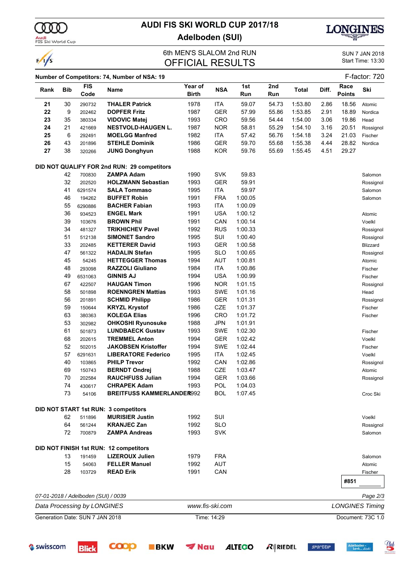

 $\frac{1}{s}$ 

Audi<br>FIS Ski World Cup

# **AUDI FIS SKI WORLD CUP 2017/18 Adelboden (SUI)**



### 6th MEN'S SLALOM 2nd RUN<br>
OFFICIAL RESLILTS<br>
Start Time: 13:30 OFFICIAL RESULTS

|      | F-factor: 720<br>Number of Competitors: 74, Number of NSA: 19 |                                 |                                             |                         |                 |            |            |              |       |                       |                        |
|------|---------------------------------------------------------------|---------------------------------|---------------------------------------------|-------------------------|-----------------|------------|------------|--------------|-------|-----------------------|------------------------|
| Rank | <b>Bib</b>                                                    | <b>FIS</b><br>Code              | Name                                        | Year of<br><b>Birth</b> | <b>NSA</b>      | 1st<br>Run | 2nd<br>Run | <b>Total</b> | Diff. | Race<br><b>Points</b> | Ski                    |
| 21   | 30                                                            | 290732                          | <b>THALER Patrick</b>                       | 1978                    | <b>ITA</b>      | 59.07      | 54.73      | 1:53.80      | 2.86  | 18.56                 | Atomic                 |
| 22   | 9                                                             | 202462                          | <b>DOPFER Fritz</b>                         | 1987                    | <b>GER</b>      | 57.99      | 55.86      | 1:53.85      | 2.91  | 18.89                 | Nordica                |
| 23   | 35                                                            | 380334                          | <b>VIDOVIC Matej</b>                        | 1993                    | CRO             | 59.56      | 54.44      | 1:54.00      | 3.06  | 19.86                 | Head                   |
| 24   | 21                                                            | 421669                          | <b>NESTVOLD-HAUGEN L.</b>                   | 1987                    | <b>NOR</b>      | 58.81      | 55.29      | 1:54.10      | 3.16  | 20.51                 | Rossignol              |
| 25   | 6                                                             | 292491                          | <b>MOELGG Manfred</b>                       | 1982                    | <b>ITA</b>      | 57.42      | 56.76      | 1:54.18      | 3.24  | 21.03                 | Fischer                |
| 26   | 43                                                            | 201896                          | <b>STEHLE Dominik</b>                       | 1986                    | <b>GER</b>      | 59.70      | 55.68      | 1:55.38      | 4.44  | 28.82                 | Nordica                |
| 27   | 38                                                            | 320266                          | <b>JUNG Donghyun</b>                        | 1988                    | <b>KOR</b>      | 59.76      | 55.69      | 1:55.45      | 4.51  | 29.27                 |                        |
|      |                                                               |                                 | DID NOT QUALIFY FOR 2nd RUN: 29 competitors |                         |                 |            |            |              |       |                       |                        |
|      | 42                                                            | 700830                          | <b>ZAMPA Adam</b>                           | 1990                    | <b>SVK</b>      | 59.83      |            |              |       |                       | Salomon                |
|      | 32                                                            | 202520                          | <b>HOLZMANN Sebastian</b>                   | 1993                    | GER             | 59.91      |            |              |       |                       | Rossignol              |
|      | 41                                                            | 6291574                         | <b>SALA Tommaso</b>                         | 1995                    | <b>ITA</b>      | 59.97      |            |              |       |                       | Salomon                |
|      | 46                                                            | 194262                          | <b>BUFFET Robin</b>                         | 1991                    | <b>FRA</b>      | 1:00.05    |            |              |       |                       | Salomon                |
|      | 55                                                            | 6290886                         | <b>BACHER Fabian</b>                        | 1993                    | ITA             | 1:00.09    |            |              |       |                       |                        |
|      | 36                                                            | 934523                          | <b>ENGEL Mark</b>                           | 1991                    | <b>USA</b>      | 1:00.12    |            |              |       |                       | Atomic                 |
|      | 39                                                            | 103676                          | <b>BROWN Phil</b>                           | 1991                    | CAN             | 1:00.14    |            |              |       |                       | Voelkl                 |
|      | 34                                                            | 481327                          | <b>TRIKHICHEV Pavel</b>                     | 1992                    | <b>RUS</b>      | 1:00.33    |            |              |       |                       | Rossignol              |
|      | 51                                                            | 512138                          | <b>SIMONET Sandro</b>                       | 1995                    | SUI             | 1:00.40    |            |              |       |                       | Rossignol              |
|      | 33                                                            | 202485                          | <b>KETTERER David</b>                       | 1993                    | <b>GER</b>      | 1:00.58    |            |              |       |                       | Blizzard               |
|      | 47                                                            | 561322                          | <b>HADALIN Stefan</b>                       | 1995                    | <b>SLO</b>      | 1:00.65    |            |              |       |                       | Rossignol              |
|      | 45                                                            | 54245                           | <b>HETTEGGER Thomas</b>                     | 1994                    | <b>AUT</b>      | 1:00.81    |            |              |       |                       | Atomic                 |
|      | 48                                                            | 293098                          | <b>RAZZOLI Giuliano</b>                     | 1984                    | ITA             | 1:00.86    |            |              |       |                       | Fischer                |
|      | 49                                                            | 6531063                         | <b>GINNIS AJ</b>                            | 1994                    | <b>USA</b>      | 1:00.99    |            |              |       |                       | Fischer                |
|      | 67                                                            | 422507                          | <b>HAUGAN Timon</b>                         | 1996                    | <b>NOR</b>      | 1:01.15    |            |              |       |                       | Rossignol              |
|      | 58                                                            | 501898                          | <b>ROENNGREN Mattias</b>                    | 1993                    | <b>SWE</b>      | 1:01.16    |            |              |       |                       | Head                   |
|      | 56                                                            | 201891                          | <b>SCHMID Philipp</b>                       | 1986                    | GER             | 1:01.31    |            |              |       |                       | Rossignol              |
|      | 59                                                            | 150644                          | <b>KRYZL Krystof</b>                        | 1986                    | CZE             | 1:01.37    |            |              |       |                       | Fischer                |
|      | 63                                                            | 380363                          | <b>KOLEGA Elias</b>                         | 1996                    | CRO             | 1:01.72    |            |              |       |                       | Fischer                |
|      | 53                                                            | 302982                          | <b>OHKOSHI Ryunosuke</b>                    | 1988                    | <b>JPN</b>      | 1:01.91    |            |              |       |                       |                        |
|      | 61                                                            | 501873                          | <b>LUNDBAECK Gustav</b>                     | 1993                    | <b>SWE</b>      | 1:02.30    |            |              |       |                       | Fischer                |
|      | 68                                                            | 202615                          | <b>TREMMEL Anton</b>                        | 1994                    | <b>GER</b>      | 1:02.42    |            |              |       |                       | Voelkl                 |
|      | 52                                                            | 502015                          | <b>JAKOBSEN Kristoffer</b>                  | 1994                    | <b>SWE</b>      | 1:02.44    |            |              |       |                       | Fischer                |
|      | 57                                                            | 6291631                         | <b>LIBERATORE Federico</b>                  | 1995                    | <b>ITA</b>      | 1:02.45    |            |              |       |                       | Voelkl                 |
|      | 40                                                            | 103865                          | <b>PHILP Trevor</b>                         | 1992                    | CAN             | 1:02.86    |            |              |       |                       | Rossignol              |
|      | 69                                                            | 150743                          | <b>BERNDT Ondrej</b>                        | 1988                    | CZE             | 1:03.47    |            |              |       |                       | Atomic                 |
|      | 70                                                            | 202584                          | <b>RAUCHFUSS Julian</b>                     | 1994                    | <b>GER</b>      | 1:03.66    |            |              |       |                       | Rossignol              |
|      | 74                                                            | 430617                          | <b>CHRAPEK Adam</b>                         | 1993                    | POL             | 1:04.03    |            |              |       |                       |                        |
|      | 73                                                            | 54106                           | <b>BREITFUSS KAMMERLANDER992</b>            |                         | <b>BOL</b>      | 1:07.45    |            |              |       |                       | Croc Ski               |
|      |                                                               |                                 | DID NOT START 1st RUN: 3 competitors        |                         |                 |            |            |              |       |                       |                        |
|      | 62                                                            | 511896                          | <b>MURISIER Justin</b>                      | 1992                    | SUI             |            |            |              |       |                       | Voelkl                 |
|      | 64                                                            | 561244                          | <b>KRANJEC Zan</b>                          | 1992                    | <b>SLO</b>      |            |            |              |       |                       | Rossignol              |
|      | 72                                                            | 700879                          | <b>ZAMPA Andreas</b>                        | 1993                    | <b>SVK</b>      |            |            |              |       |                       | Salomon                |
|      |                                                               |                                 | DID NOT FINISH 1st RUN: 12 competitors      |                         |                 |            |            |              |       |                       |                        |
|      | 13                                                            | 191459                          | <b>LIZEROUX Julien</b>                      | 1979                    | <b>FRA</b>      |            |            |              |       |                       | Salomon                |
|      | 15                                                            | 54063                           | <b>FELLER Manuel</b>                        | 1992                    | <b>AUT</b>      |            |            |              |       |                       | Atomic                 |
|      | 28                                                            | 103729                          | <b>READ Erik</b>                            | 1991                    | CAN             |            |            |              |       |                       | Fischer                |
|      |                                                               |                                 |                                             |                         |                 |            |            |              |       | #851                  |                        |
|      |                                                               |                                 | 07-01-2018 / Adelboden (SUI) / 0039         |                         |                 |            |            |              |       |                       | Page 2/3               |
|      |                                                               | Data Processing by LONGINES     |                                             |                         | www.fis-ski.com |            |            |              |       |                       | <b>LONGINES Timing</b> |
|      |                                                               | Generation Date: SUN 7 JAN 2018 |                                             |                         | Time: 14:29     |            |            |              |       |                       | Document: 73C 1.0      |
|      |                                                               |                                 |                                             |                         |                 |            |            |              |       |                       |                        |

**ALTEGO** 

 $R$  Riedel

**COOP** 

**Blick** 

**BKW** 

 $\blacktriangledown$  Nau

Swisscom